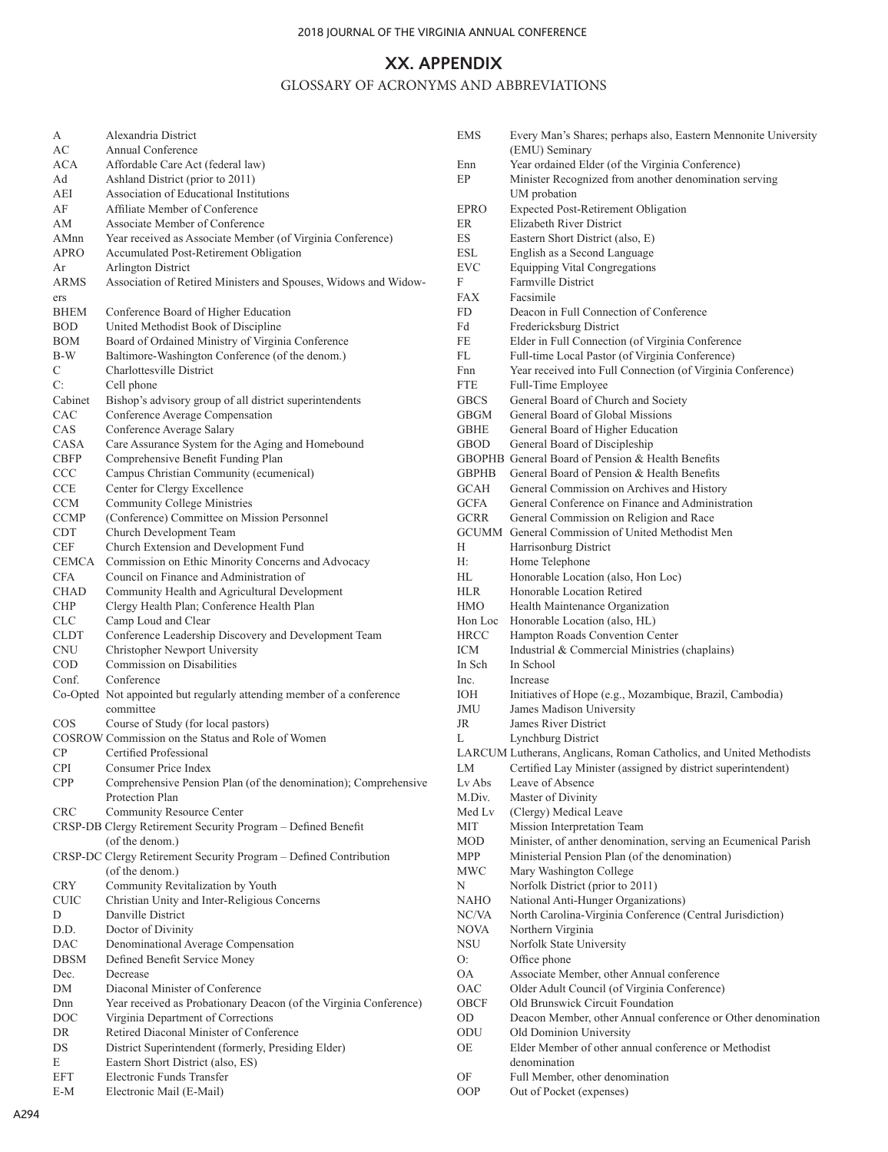## **XX. APPENDIX**

## GLOSSARY OF ACRONYMS AND ABBREVIATIONS

| А           | Alexandria District                                                   |
|-------------|-----------------------------------------------------------------------|
| АC          | Annual Conference                                                     |
| <b>ACA</b>  |                                                                       |
|             | Affordable Care Act (federal law)                                     |
| Ad          | Ashland District (prior to 2011)                                      |
| AEI         | Association of Educational Institutions                               |
| AF          | Affiliate Member of Conference                                        |
| AМ          | Associate Member of Conference                                        |
| AMnn        | Year received as Associate Member (of Virginia Conference)            |
| <b>APRO</b> | Accumulated Post-Retirement Obligation                                |
| Ar          | <b>Arlington District</b>                                             |
| ARMS        | Association of Retired Ministers and Spouses, Widows and Widow-       |
| ers         |                                                                       |
| <b>BHEM</b> | Conference Board of Higher Education                                  |
| <b>BOD</b>  | United Methodist Book of Discipline                                   |
| <b>BOM</b>  | Board of Ordained Ministry of Virginia Conference                     |
| B-W         | Baltimore-Washington Conference (of the denom.)                       |
| C           | Charlottesville District                                              |
|             |                                                                       |
| C:          | Cell phone                                                            |
| Cabinet     | Bishop's advisory group of all district superintendents               |
| CAC         | Conference Average Compensation                                       |
| CAS         | Conference Average Salary                                             |
| CASA        | Care Assurance System for the Aging and Homebound                     |
| <b>CBFP</b> | Comprehensive Benefit Funding Plan                                    |
| <b>CCC</b>  | Campus Christian Community (ecumenical)                               |
| <b>CCE</b>  | Center for Clergy Excellence                                          |
| <b>CCM</b>  | Community College Ministries                                          |
| <b>CCMP</b> | (Conference) Committee on Mission Personnel                           |
| <b>CDT</b>  | Church Development Team                                               |
| <b>CEF</b>  | Church Extension and Development Fund                                 |
| CEMCA       | Commission on Ethic Minority Concerns and Advocacy                    |
| <b>CFA</b>  |                                                                       |
|             | Council on Finance and Administration of                              |
| <b>CHAD</b> | Community Health and Agricultural Development                         |
| <b>CHP</b>  | Clergy Health Plan; Conference Health Plan                            |
| <b>CLC</b>  | Camp Loud and Clear                                                   |
| <b>CLDT</b> | Conference Leadership Discovery and Development Team                  |
| <b>CNU</b>  | Christopher Newport University                                        |
| <b>COD</b>  | Commission on Disabilities                                            |
| Conf.       | Conference                                                            |
|             | Co-Opted Not appointed but regularly attending member of a conference |
|             | committee                                                             |
| <b>COS</b>  | Course of Study (for local pastors)                                   |
|             | COSROW Commission on the Status and Role of Women                     |
| <b>CP</b>   | Certified Professional                                                |
| <b>CPI</b>  | Consumer Price Index                                                  |
| <b>CPP</b>  | Comprehensive Pension Plan (of the denomination); Comprehensive       |
|             |                                                                       |
|             | Protection Plan                                                       |
| <b>CRC</b>  | <b>Community Resource Center</b>                                      |
|             | CRSP-DB Clergy Retirement Security Program - Defined Benefit          |
|             | (of the denom.)                                                       |
|             | CRSP-DC Clergy Retirement Security Program - Defined Contribution     |
|             | (of the denom.)                                                       |
| <b>CRY</b>  | Community Revitalization by Youth                                     |
| <b>CUIC</b> | Christian Unity and Inter-Religious Concerns                          |
| D           | Danville District                                                     |
| D.D.        | Doctor of Divinity                                                    |
| DAC         | Denominational Average Compensation                                   |
| <b>DBSM</b> | Defined Benefit Service Money                                         |
| Dec.        | Decrease                                                              |
| DM          | Diaconal Minister of Conference                                       |
|             |                                                                       |
| Dnn         | Year received as Probationary Deacon (of the Virginia Conference)     |
| DOC         | Virginia Department of Corrections                                    |
| DR          | Retired Diaconal Minister of Conference                               |
| DS          | District Superintendent (formerly, Presiding Elder)                   |
| E           | Eastern Short District (also, ES)                                     |
| EFT         | Electronic Funds Transfer                                             |
| E-M         | Electronic Mail (E-Mail)                                              |

| EMS               | Every Man's Shares; perhaps also, Eastern Mennonite University                                            |
|-------------------|-----------------------------------------------------------------------------------------------------------|
|                   | (EMU) Seminary                                                                                            |
| Enn<br>EP         | Year ordained Elder (of the Virginia Conference)<br>Minister Recognized from another denomination serving |
|                   | UM probation                                                                                              |
| EPRO              | <b>Expected Post-Retirement Obligation</b>                                                                |
| ER                | Elizabeth River District                                                                                  |
| ES                | Eastern Short District (also, E)                                                                          |
| ESL               | English as a Second Language                                                                              |
| EVC               | <b>Equipping Vital Congregations</b>                                                                      |
| F                 | Farmville District                                                                                        |
| FAX               | Facsimile                                                                                                 |
| FD                | Deacon in Full Connection of Conference                                                                   |
| Fd                | Fredericksburg District                                                                                   |
| FE                | Elder in Full Connection (of Virginia Conference                                                          |
| FL                | Full-time Local Pastor (of Virginia Conference)                                                           |
| Fnn<br><b>FTE</b> | Year received into Full Connection (of Virginia Conference)                                               |
| <b>GBCS</b>       | Full-Time Employee<br>General Board of Church and Society                                                 |
| GBGM              | General Board of Global Missions                                                                          |
| <b>GBHE</b>       | General Board of Higher Education                                                                         |
| <b>GBOD</b>       | General Board of Discipleship                                                                             |
|                   | GBOPHB General Board of Pension & Health Benefits                                                         |
| GBPHB             | General Board of Pension & Health Benefits                                                                |
| <b>GCAH</b>       | General Commission on Archives and History                                                                |
| <b>GCFA</b>       | General Conference on Finance and Administration                                                          |
| <b>GCRR</b>       | General Commission on Religion and Race                                                                   |
|                   | GCUMM General Commission of United Methodist Men                                                          |
| Н                 | Harrisonburg District                                                                                     |
| Н:                | Home Telephone                                                                                            |
| HL                | Honorable Location (also, Hon Loc)                                                                        |
| <b>HLR</b>        | Honorable Location Retired                                                                                |
| HMO               | Health Maintenance Organization                                                                           |
| Hon Loc           | Honorable Location (also, HL)                                                                             |
| <b>HRCC</b>       | Hampton Roads Convention Center                                                                           |
| <b>ICM</b>        | Industrial & Commercial Ministries (chaplains)                                                            |
| In Sch            | In School                                                                                                 |
| Inc.              | Increase                                                                                                  |
| ЮH                | Initiatives of Hope (e.g., Mozambique, Brazil, Cambodia)                                                  |
| JMU               | James Madison University                                                                                  |
| JR                | James River District                                                                                      |
| L                 | <b>Lynchburg District</b>                                                                                 |
|                   | LARCUM Lutherans, Anglicans, Roman Catholics, and United Methodists                                       |
| LM                | Certified Lay Minister (assigned by district superintendent)                                              |
| Lv Abs            | Leave of Absence                                                                                          |
| M.Div.            | Master of Divinity                                                                                        |
| Med Lv            | (Clergy) Medical Leave                                                                                    |
| <b>MIT</b>        | Mission Interpretation Team                                                                               |
| <b>MOD</b>        | Minister, of anther denomination, serving an Ecumenical Parish                                            |
| MPP               | Ministerial Pension Plan (of the denomination)<br>Mary Washington College                                 |
| MWC<br>Ν          | Norfolk District (prior to 2011)                                                                          |
| NAHO              | National Anti-Hunger Organizations)                                                                       |
| NC/VA             | North Carolina-Virginia Conference (Central Jurisdiction)                                                 |
| NOVA              | Northern Virginia                                                                                         |
| NSU               | Norfolk State University                                                                                  |
| O:                | Office phone                                                                                              |
| OA                | Associate Member, other Annual conference                                                                 |
| OAC               |                                                                                                           |
|                   |                                                                                                           |
| <b>OBCF</b>       | Older Adult Council (of Virginia Conference)<br>Old Brunswick Circuit Foundation                          |
| OD                | Deacon Member, other Annual conference or Other denomination                                              |
| ODU               | Old Dominion University                                                                                   |
| ОE                | Elder Member of other annual conference or Methodist                                                      |
|                   | denomination                                                                                              |
| OF                | Full Member, other denomination                                                                           |